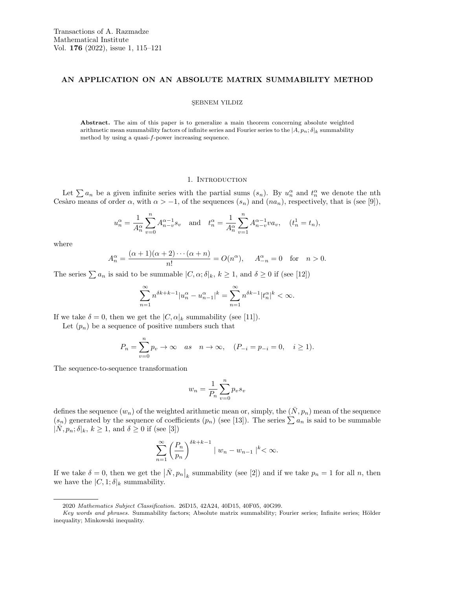# AN APPLICATION ON AN ABSOLUTE MATRIX SUMMABILITY METHOD

#### SEBNEM YILDIZ

Abstract. The aim of this paper is to generalize a main theorem concerning absolute weighted arithmetic mean summability factors of infinite series and Fourier series to the  $|A, p_n; \delta|_k$  summability method by using a quasi-f-power increasing sequence.

## 1. INTRODUCTION

Let  $\sum a_n$  be a given infinite series with the partial sums  $(s_n)$ . By  $u_n^{\alpha}$  and  $t_n^{\alpha}$  we denote the nth Cesàro means of order  $\alpha$ , with  $\alpha > -1$ , of the sequences  $(s_n)$  and  $(na_n)$ , respectively, that is (see [9]),

$$
u_n^{\alpha} = \frac{1}{A_n^{\alpha}} \sum_{v=0}^n A_{n-v}^{\alpha-1} s_v \text{ and } t_n^{\alpha} = \frac{1}{A_n^{\alpha}} \sum_{v=1}^n A_{n-v}^{\alpha-1} v a_v, \quad (t_n^1 = t_n),
$$

where

$$
A_n^{\alpha} = \frac{(\alpha+1)(\alpha+2)\cdots(\alpha+n)}{n!} = O(n^{\alpha}), \quad A_{-n}^{\alpha} = 0 \quad \text{for} \quad n > 0.
$$

The series  $\sum a_n$  is said to be summable  $|C,\alpha;\delta|_k, k \geq 1$ , and  $\delta \geq 0$  if (see [12])

$$
\sum_{n=1}^{\infty} n^{\delta k + k - 1} |u_n^{\alpha} - u_{n-1}^{\alpha}|^k = \sum_{n=1}^{\infty} n^{\delta k - 1} |t_n^{\alpha}|^k < \infty.
$$

If we take  $\delta = 0$ , then we get the  $|C, \alpha|_k$  summability (see [11]).

Let  $(p_n)$  be a sequence of positive numbers such that

$$
P_n=\sum_{v=0}^n p_v\to\infty\quad as\quad n\to\infty,\quad (P_{-i}=p_{-i}=0,\quad i\ge 1).
$$

The sequence-to-sequence transformation

$$
w_n = \frac{1}{P_n} \sum_{v=0}^n p_v s_v
$$

defines the sequence  $(w_n)$  of the weighted arithmetic mean or, simply, the  $(\bar{N}, p_n)$  mean of the sequence  $(s_n)$  generated by the sequence of coefficients  $(p_n)$  (see [13]). The series  $\sum a_n$  is said to be summable  $|\bar{N}, p_n; \delta|_k, k \geq 1$ , and  $\delta \geq 0$  if (see [3])

$$
\sum_{n=1}^{\infty} \left(\frac{P_n}{p_n}\right)^{\delta k + k - 1} \mid w_n - w_{n-1} \mid^k < \infty.
$$

If we take  $\delta = 0$ , then we get the  $|\bar{N}, p_n|_k$  summability (see [2]) and if we take  $p_n = 1$  for all n, then we have the  $|C, 1; \delta|_k$  summability.

<sup>2020</sup> Mathematics Subject Classification. 26D15, 42A24, 40D15, 40F05, 40G99.

Key words and phrases. Summability factors; Absolute matrix summability; Fourier series; Infinite series; Hölder inequality; Minkowski inequality.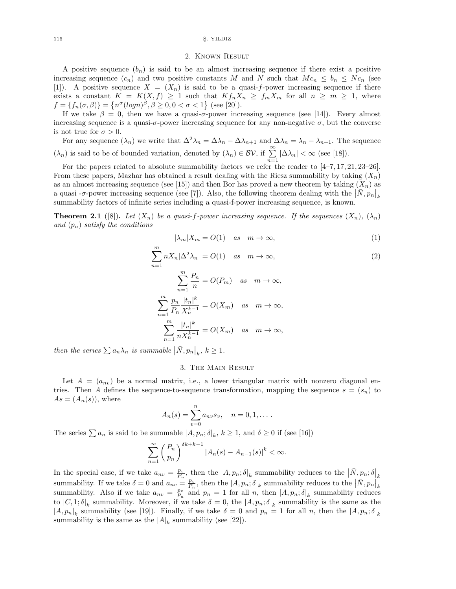#### 116 S. YILDIZ

## 2. Known Result

A positive sequence  $(b_n)$  is said to be an almost increasing sequence if there exist a positive increasing sequence  $(c_n)$  and two positive constants M and N such that  $Mc_n \leq b_n \leq N c_n$  (see [1]). A positive sequence  $X = (X_n)$  is said to be a quasi-f-power increasing sequence if there exists a constant  $K = K(X, f) \ge 1$  such that  $Kf_nX_n \ge f_mX_m$  for all  $n \ge m \ge 1$ , where  $f = \{f_n(\sigma, \beta)\} = \{n^{\sigma}(\log n)^{\beta}, \beta \ge 0, 0 < \sigma < 1\}$  (see [20]).

If we take  $\beta = 0$ , then we have a quasi-σ-power increasing sequence (see [14]). Every almost increasing sequence is a quasi- $\sigma$ -power increasing sequence for any non-negative  $\sigma$ , but the converse is not true for  $\sigma > 0$ .

For any sequence  $(\lambda_n)$  we write that  $\Delta^2 \lambda_n = \Delta \lambda_n - \Delta \lambda_{n+1}$  and  $\Delta \lambda_n = \lambda_n - \lambda_{n+1}$ . The sequence  $(\lambda_n)$  is said to be of bounded variation, denoted by  $(\lambda_n) \in \mathcal{BV}$ , if  $\sum_{n=1}^{\infty} |\Delta \lambda_n| < \infty$  (see [18]).

For the papers related to absolute summability factors we refer the reader to [4–7, 17, 21, 23–26]. From these papers, Mazhar has obtained a result dealing with the Riesz summability by taking  $(X_n)$ as an almost increasing sequence (see [15]) and then Bor has proved a new theorem by taking  $(X_n)$  as a quasi  $-\sigma$ -power increasing sequence (see [7]). Also, the following theorem dealing with the  $|\bar{N}, p_n|_k$ summability factors of infinite series including a quasi-f-power increasing sequence, is known.

**Theorem 2.1** ([8]). Let  $(X_n)$  be a quasi-f-power increasing sequence. If the sequences  $(X_n)$ ,  $(\lambda_n)$ and  $(p_n)$  satisfy the conditions

$$
|\lambda_m|X_m = O(1) \quad \text{as} \quad m \to \infty,\tag{1}
$$

$$
\sum_{n=1}^{m} nX_n |\Delta^2 \lambda_n| = O(1) \quad \text{as} \quad m \to \infty,
$$
\n
$$
\sum_{n=1}^{m} \frac{P_n}{P_n} = O(P_m) \quad \text{as} \quad m \to \infty.
$$
\n(2)

$$
\sum_{n=1}^{\infty} \frac{1}{n} = O(P_m) \quad \text{as} \quad m \to \infty,
$$
  

$$
\sum_{n=1}^{m} \frac{p_n}{P_n} \frac{|t_n|^k}{X_n^{k-1}} = O(X_m) \quad \text{as} \quad m \to \infty,
$$
  

$$
\sum_{n=1}^{m} \frac{|t_n|^k}{n X_n^{k-1}} = O(X_m) \quad \text{as} \quad m \to \infty,
$$

then the series  $\sum a_n \lambda_n$  is summable  $|\bar{N}, p_n|_k$ ,  $k \geq 1$ .

# 3. The Main Result

Let  $A = (a_{nv})$  be a normal matrix, i.e., a lower triangular matrix with nonzero diagonal entries. Then A defines the sequence-to-sequence transformation, mapping the sequence  $s = (s_n)$  to  $As = (A_n(s)),$  where

$$
A_n(s) = \sum_{v=0}^n a_{nv} s_v, \quad n = 0, 1, \dots.
$$

The series  $\sum a_n$  is said to be summable  $|A, p_n; \delta|_k$ ,  $k \ge 1$ , and  $\delta \ge 0$  if (see [16])

$$
\sum_{n=1}^{\infty} \left(\frac{P_n}{p_n}\right)^{\delta k + k - 1} \left|A_n(s) - A_{n-1}(s)\right|^k < \infty.
$$

In the special case, if we take  $a_{nv} = \frac{p_v}{P_n}$ , then the  $|A, p_n; \delta|_k$  summability reduces to the  $|\bar{N}, p_n; \delta|_k$ summability. If we take  $\delta = 0$  and  $a_{nv} = \frac{p_v}{P_n}$ , then the  $|A, p_n; \delta|_k$  summability reduces to the  $|\bar{N}, p_n|_k$ summability. Also if we take  $a_{nv} = \frac{p_v}{P_n}$  and  $p_n = 1$  for all n, then  $|A, p_n; \delta|_k$  summability reduces to  $|C,1;\delta|_k$  summability. Moreover, if we take  $\delta=0$ , the  $|A,p_n;\delta|_k$  summability is the same as the  $|A, p_n|_k$  summability (see [19]). Finally, if we take  $\delta = 0$  and  $p_n = 1$  for all n, then the  $|A, p_n; \delta|_k$ summability is the same as the  $|A|_k$  summability (see [22]).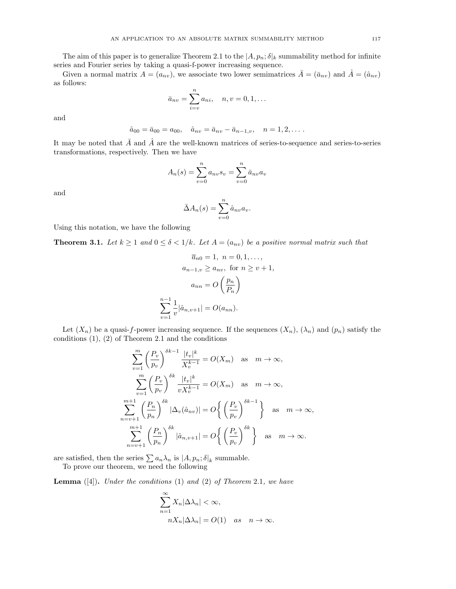The aim of this paper is to generalize Theorem 2.1 to the  $|A, p_n; \delta|_k$  summability method for infinite series and Fourier series by taking a quasi-f-power increasing sequence.

Given a normal matrix  $A = (a_{nv})$ , we associate two lower semimatrices  $\overline{A} = (\overline{a}_{nv})$  and  $\overline{A} = (\hat{a}_{nv})$ as follows:

$$
\bar{a}_{nv} = \sum_{i=v}^{n} a_{ni}, \quad n, v = 0, 1, \dots
$$

and

$$
\hat{a}_{00} = \bar{a}_{00} = a_{00}, \quad \hat{a}_{nv} = \bar{a}_{nv} - \bar{a}_{n-1,v}, \quad n = 1, 2, \dots
$$

It may be noted that  $\bar{A}$  and  $\hat{A}$  are the well-known matrices of series-to-sequence and series-to-series transformations, respectively. Then we have

$$
A_n(s) = \sum_{v=0}^{n} a_{nv} s_v = \sum_{v=0}^{n} \bar{a}_{nv} a_v
$$

and

$$
\bar{\Delta}A_n(s) = \sum_{v=0}^n \hat{a}_{nv} a_v.
$$

Using this notation, we have the following

**Theorem 3.1.** Let  $k \geq 1$  and  $0 \leq \delta < 1/k$ . Let  $A = (a_{nv})$  be a positive normal matrix such that

$$
\overline{a}_{n0} = 1, \quad n = 0, 1, \dots,
$$

$$
a_{n-1,v} \ge a_{nv}, \text{ for } n \ge v+1,
$$

$$
a_{nn} = O\left(\frac{p_n}{P_n}\right)
$$

$$
\sum_{v=1}^{n-1} \frac{1}{v} |\hat{a}_{n,v+1}| = O(a_{nn}).
$$

Let  $(X_n)$  be a quasi-f-power increasing sequence. If the sequences  $(X_n)$ ,  $(\lambda_n)$  and  $(p_n)$  satisfy the conditions  $(1)$ ,  $(2)$  of Theorem 2.1 and the conditions

$$
\sum_{v=1}^{m} \left(\frac{P_v}{p_v}\right)^{\delta k - 1} \frac{|t_v|^k}{X_v^{k-1}} = O(X_m) \text{ as } m \to \infty,
$$
  

$$
\sum_{v=1}^{m} \left(\frac{P_v}{p_v}\right)^{\delta k} \frac{|t_v|^k}{v X_v^{k-1}} = O(X_m) \text{ as } m \to \infty,
$$
  

$$
\sum_{n=v+1}^{m+1} \left(\frac{P_n}{p_n}\right)^{\delta k} |\Delta_v(\hat{a}_{nv})| = O\left\{\left(\frac{P_v}{p_v}\right)^{\delta k - 1}\right\} \text{ as } m \to \infty,
$$
  

$$
\sum_{n=v+1}^{m+1} \left(\frac{P_n}{p_n}\right)^{\delta k} |\hat{a}_{n,v+1}| = O\left\{\left(\frac{P_v}{p_v}\right)^{\delta k}\right\} \text{ as } m \to \infty.
$$

are satisfied, then the series  $\sum a_n \lambda_n$  is  $|A, p_n; \delta|_k$  summable.

To prove our theorem, we need the following

**Lemma**  $([4])$ . Under the conditions  $(1)$  and  $(2)$  of Theorem 2.1, we have

$$
\sum_{n=1}^{\infty} X_n |\Delta \lambda_n| < \infty,
$$
\n
$$
n X_n |\Delta \lambda_n| = O(1) \quad \text{as} \quad n \to \infty.
$$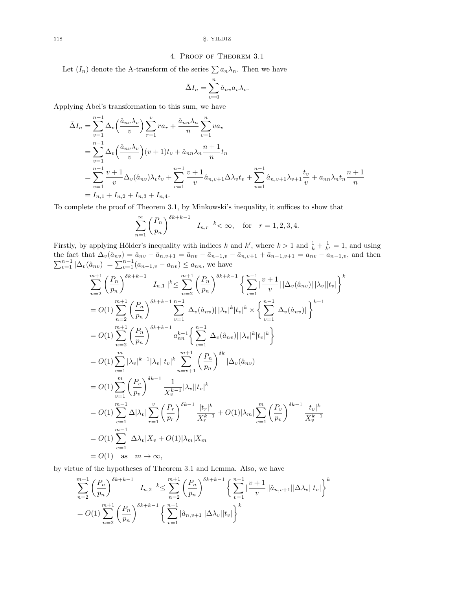### 4. Proof of Theorem 3.1

Let  $(I_n)$  denote the A-transform of the series  $\sum a_n \lambda_n$ . Then we have

$$
\bar{\Delta}I_n = \sum_{v=0}^n \hat{a}_{nv} a_v \lambda_v.
$$

Applying Abel's transformation to this sum, we have

$$
\bar{\Delta}I_n = \sum_{v=1}^{n-1} \Delta_v \left(\frac{\hat{a}_{nv}\lambda_v}{v}\right) \sum_{r=1}^v r a_r + \frac{\hat{a}_{nn}\lambda_n}{n} \sum_{v=1}^n va_v
$$
\n
$$
= \sum_{v=1}^{n-1} \Delta_v \left(\frac{\hat{a}_{nv}\lambda_v}{v}\right) (v+1) t_v + \hat{a}_{nn}\lambda_n \frac{n+1}{n} t_n
$$
\n
$$
= \sum_{v=1}^{n-1} \frac{v+1}{v} \Delta_v (\hat{a}_{nv}) \lambda_v t_v + \sum_{v=1}^{n-1} \frac{v+1}{v} \hat{a}_{n,v+1} \Delta_v t_v + \sum_{v=1}^{n-1} \hat{a}_{n,v+1} \lambda_{v+1} \frac{t_v}{v} + a_{nn}\lambda_n t_n \frac{n+1}{n}
$$
\n
$$
= I_{n,1} + I_{n,2} + I_{n,3} + I_{n,4}.
$$

To complete the proof of Theorem 3.1, by Minkowski's inequality, it suffices to show that

$$
\sum_{n=1}^{\infty} \left(\frac{P_n}{p_n}\right)^{\delta k + k - 1} |I_{n,r}|^k < \infty, \text{ for } r = 1, 2, 3, 4.
$$

Firstly, by applying Hölder's inequality with indices k and k', where  $k > 1$  and  $\frac{1}{k} + \frac{1}{k'} = 1$ , and using the fact that  $\Delta_v(\hat{a}_{nv}) = \hat{a}_{nv} - \hat{a}_{n,v+1} = \bar{a}_{nv} - \bar{a}_{n-1,v} - \bar{a}_{n,v+1} + \bar{a}_{n-1,v+1} = a_{nv} - a_{n-1,v}$ , and then  $\sum_{v=1}^{n-1} |\Delta_v(\hat{a}_{nv})| = \sum_{v=1}^{n-1} (a_{n-1,v} - a_{nv}) \le a_{nn}$ , we have

$$
\sum_{n=2}^{m+1} \left(\frac{P_n}{p_n}\right)^{\delta k + k - 1} |I_{n,1}|^{k} \leq \sum_{n=2}^{m+1} \left(\frac{P_n}{p_n}\right)^{\delta k + k - 1} \left\{\sum_{v=1}^{n-1} \frac{v+1}{v} |\Delta_v(\hat{a}_{nv})| |\lambda_v||t_v|\right\}^{k}
$$
  
\n
$$
= O(1) \sum_{n=2}^{m+1} \left(\frac{P_n}{p_n}\right)^{\delta k + k - 1} \sum_{v=1}^{n-1} |\Delta_v(\hat{a}_{nv})| |\lambda_v|^{k} |t_v|^{k} \times \left\{\sum_{v=1}^{n-1} |\Delta_v(\hat{a}_{nv})| \right\}^{k-1}
$$
  
\n
$$
= O(1) \sum_{n=2}^{m+1} \left(\frac{P_n}{p_n}\right)^{\delta k + k - 1} a_{nn}^{k-1} \left\{\sum_{v=1}^{n-1} |\Delta_v(\hat{a}_{nv})| |\lambda_v|^{k} |t_v|^{k}\right\}
$$
  
\n
$$
= O(1) \sum_{v=1}^{m} |\lambda_v|^{k-1} |\lambda_v||t_v|^{k} \sum_{n=v+1}^{m+1} \left(\frac{P_n}{p_n}\right)^{\delta k} |\Delta_v(\hat{a}_{nv})|
$$
  
\n
$$
= O(1) \sum_{v=1}^{m} \left(\frac{P_v}{p_v}\right)^{\delta k - 1} \frac{1}{X_v^{k-1}} |\lambda_v||t_v|^{k}
$$
  
\n
$$
= O(1) \sum_{v=1}^{m-1} \Delta |\lambda_v| \sum_{r=1}^{v} \left(\frac{P_r}{p_r}\right)^{\delta k - 1} \frac{|t_r|^{k}}{X_r^{k-1}} + O(1)|\lambda_m| \sum_{v=1}^{m} \left(\frac{P_v}{p_v}\right)^{\delta k - 1} \frac{|t_v|^{k}}{X_v^{k-1}}
$$
  
\n
$$
= O(1) \sum_{v=1}^{m-1} |\Delta \lambda_v| X_v + O(1)|\lambda_m|X_m
$$
  
\n
$$
= O(1) \text{ as } m \to \infty,
$$

by virtue of the hypotheses of Theorem 3.1 and Lemma. Also, we have

$$
\sum_{n=2}^{m+1} \left( \frac{P_n}{p_n} \right)^{\delta k + k - 1} |I_{n,2}|^k \le \sum_{n=2}^{m+1} \left( \frac{P_n}{p_n} \right)^{\delta k + k - 1} \left\{ \sum_{v=1}^{n-1} \left| \frac{v+1}{v} \right| |\hat{a}_{n,v+1}| |\Delta \lambda_v| |t_v| \right\}^k
$$
  
=  $O(1) \sum_{n=2}^{m+1} \left( \frac{P_n}{p_n} \right)^{\delta k + k - 1} \left\{ \sum_{v=1}^{n-1} |\hat{a}_{n,v+1}| |\Delta \lambda_v| |t_v| \right\}^k$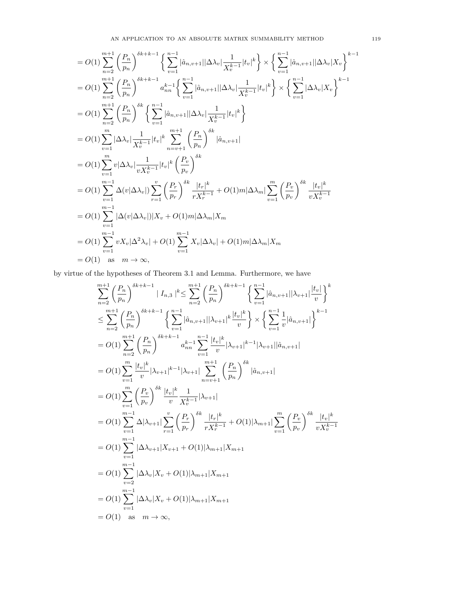$$
= O(1) \sum_{n=2}^{m+1} \left(\frac{P_n}{p_n}\right)^{\delta k + k - 1} \left\{\sum_{v=1}^{n-1} |\hat{a}_{n,v+1}| |\Delta \lambda_v| \frac{1}{X_v^{k-1}} |t_v|^k \right\} \times \left\{\sum_{v=1}^{n-1} |\hat{a}_{n,v+1}| |\Delta \lambda_v| X_v \right\}^{k-1}
$$
  
\n
$$
= O(1) \sum_{n=2}^{m+1} \left(\frac{P_n}{p_n}\right)^{\delta k + k - 1} a_{nn}^{k-1} \left\{\sum_{v=1}^{n-1} |\hat{a}_{n,v+1}| |\Delta \lambda_v| \frac{1}{X_v^{k-1}} |t_v|^k \right\} \times \left\{\sum_{v=1}^{n-1} |\Delta \lambda_v| X_v \right\}^{k-1}
$$
  
\n
$$
= O(1) \sum_{n=2}^{m} \left(\frac{P_n}{p_n}\right)^{\delta k} \left\{\sum_{v=1}^{n-1} |\hat{a}_{n,v+1}| |\Delta \lambda_v| \frac{1}{X_v^{k-1}} |t_v|^k \right\}
$$
  
\n
$$
= O(1) \sum_{v=1}^{m} |\Delta \lambda_v| \frac{1}{X_v^{k-1}} |t_v|^k \sum_{n=v+1}^{m+1} \left(\frac{P_n}{p_n}\right)^{\delta k} |\hat{a}_{n,v+1}|
$$
  
\n
$$
= O(1) \sum_{v=1}^{m} v |\Delta \lambda_v| \frac{1}{X_v^{k-1}} |t_v|^k \left(\frac{P_v}{p_v}\right)^{\delta k}
$$
  
\n
$$
= O(1) \sum_{v=1}^{m-1} \Delta(v |\Delta \lambda_v|) \sum_{r=1}^{v} \left(\frac{P_r}{p_r}\right)^{\delta k} \frac{|t_r|^k}{r X_r^{k-1}} + O(1)m |\Delta \lambda_m| \sum_{v=1}^{m} \left(\frac{P_v}{p_v}\right)^{\delta k} \frac{|t_v|^k}{v X_v^{k-1}}
$$
  
\n
$$
= O(1) \sum_{v=1}^{m-1} |\Delta(v |\Delta \lambda_v|) |X_v + O(1)m |\Delta \lambda_m| X_m
$$
  
\n
$$
= O(1) \sum_{v=1}^{m-1} v X_v |\Delta^2 \lambda
$$

by virtue of the hypotheses of Theorem 3.1 and Lemma. Furthermore, we have

$$
\sum_{n=2}^{m+1} \left( \frac{P_n}{p_n} \right)^{\delta k + k - 1} |I_{n,3}|^k \leq \sum_{n=2}^{m+1} \left( \frac{P_n}{p_n} \right)^{\delta k + k - 1} \left\{ \sum_{v=1}^{n-1} |\hat{a}_{n,v+1}| |\lambda_{v+1}| \frac{|t_v|}{v} \right\}^k
$$
  
\n
$$
\leq \sum_{n=2}^{m+1} \left( \frac{P_n}{p_n} \right)^{\delta k + k - 1} \left\{ \sum_{v=1}^{n-1} |\hat{a}_{n,v+1}| |\lambda_{v+1}|^k \frac{|t_v|^k}{v} \right\} \times \left\{ \sum_{v=1}^{n-1} \frac{1}{v} |\hat{a}_{n,v+1}| \right\}^{k - 1}
$$
  
\n=  $O(1) \sum_{n=2}^{m+1} \left( \frac{P_n}{p_n} \right)^{\delta k + k - 1} a_{nn}^{k - 1} \sum_{v=1}^{n-1} \frac{|t_v|^k}{v} |\lambda_{v+1}|^{k - 1} |\lambda_{v+1}| |\hat{a}_{n,v+1}|$   
\n=  $O(1) \sum_{v=1}^{m} \frac{|t_v|^k}{v} |\lambda_{v+1}|^{k - 1} |\lambda_{v+1}| \sum_{n=v+1}^{m+1} \left( \frac{P_n}{p_n} \right)^{\delta k} |\hat{a}_{n,v+1}|$   
\n=  $O(1) \sum_{v=1}^{m-1} \Delta |\lambda_{v+1}| \sum_{r=1}^{v} \left( \frac{P_r}{p_r} \right)^{\delta k} \frac{|t_r|^k}{r X_r^{k - 1}} + O(1) |\lambda_{m+1}| \sum_{v=1}^{m} \left( \frac{P_v}{p_v} \right)^{\delta k} \frac{|t_v|^k}{v X_r^{k - 1}}$   
\n=  $O(1) \sum_{v=1}^{m-1} |\Delta \lambda_{v+1}| X_{v+1} + O(1) |\lambda_{m+1}| X_{m+1}$   
\n=  $O(1) \sum_{v=2}^{m-1} |\Delta \lambda_v| X_v + O(1) |\lambda_{m+1}| X_{m+1}$   
\n=  $O(1) \sum_{v=1}^{m-1} |\Delta \lambda_v| X_v + O$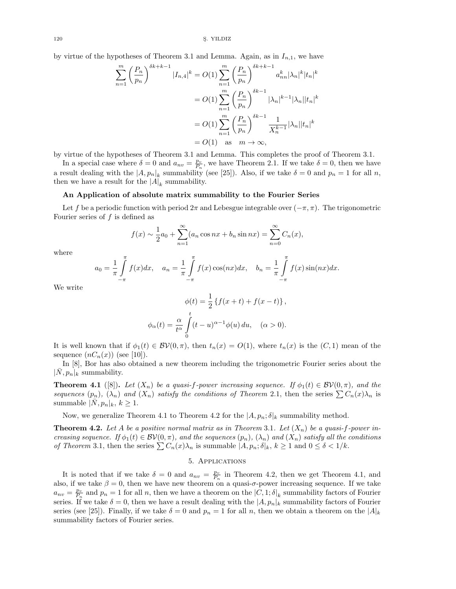120 S. YILDIZ

by virtue of the hypotheses of Theorem 3.1 and Lemma. Again, as in  $I_{n,1}$ , we have

$$
\sum_{n=1}^{m} \left(\frac{P_n}{p_n}\right)^{\delta k + k - 1} |I_{n,4}|^k = O(1) \sum_{n=1}^{m} \left(\frac{P_n}{p_n}\right)^{\delta k + k - 1} a_{nn}^k |\lambda_n|^k |t_n|^k
$$
  
=  $O(1) \sum_{n=1}^{m} \left(\frac{P_n}{p_n}\right)^{\delta k - 1} |\lambda_n|^{k - 1} |\lambda_n| |t_n|^k$   
=  $O(1) \sum_{n=1}^{m} \left(\frac{P_n}{p_n}\right)^{\delta k - 1} \frac{1}{X_n^{k - 1}} |\lambda_n| |t_n|^k$   
=  $O(1)$  as  $m \to \infty$ ,

by virtue of the hypotheses of Theorem 3.1 and Lemma. This completes the proof of Theorem 3.1.

In a special case where  $\delta = 0$  and  $a_{nv} = \frac{p_v}{P_n}$ , we have Theorem 2.1. If we take  $\delta = 0$ , then we have a result dealing with the  $|A, p_n|_k$  summability (see [25]). Also, if we take  $\delta = 0$  and  $p_n = 1$  for all n, then we have a result for the  $|A|_k$  summability.

### An Application of absolute matrix summability to the Fourier Series

Let f be a periodic function with period  $2\pi$  and Lebesgue integrable over  $(-\pi, \pi)$ . The trigonometric Fourier series of  $f$  is defined as

$$
f(x) \sim \frac{1}{2}a_0 + \sum_{n=1}^{\infty} (a_n \cos nx + b_n \sin nx) = \sum_{n=0}^{\infty} C_n(x),
$$

where

$$
a_0 = \frac{1}{\pi} \int_{-\pi}^{\pi} f(x) dx, \quad a_n = \frac{1}{\pi} \int_{-\pi}^{\pi} f(x) \cos(nx) dx, \quad b_n = \frac{1}{\pi} \int_{-\pi}^{\pi} f(x) \sin(nx) dx.
$$

We write

$$
\phi(t) = \frac{1}{2} \left\{ f(x+t) + f(x-t) \right\},\
$$

$$
\phi_{\alpha}(t) = \frac{\alpha}{t^{\alpha}} \int_{0}^{t} (t-u)^{\alpha-1} \phi(u) du, \quad (\alpha > 0).
$$

It is well known that if  $\phi_1(t) \in BV(0, \pi)$ , then  $t_n(x) = O(1)$ , where  $t_n(x)$  is the  $(C, 1)$  mean of the sequence  $(nC_n(x))$  (see [10]).

In [8], Bor has also obtained a new theorem including the trigonometric Fourier series about the  $|\bar{N}, p_n|_k$  summability.

**Theorem 4.1** ([8]). Let  $(X_n)$  be a quasi-f-power increasing sequence. If  $\phi_1(t) \in BV(0, \pi)$ , and the sequences  $(p_n)$ ,  $(\lambda_n)$  and  $(X_n)$  satisfy the conditions of Theorem 2.1, then the series  $\sum C_n(x)\lambda_n$  is summable  $|\overline{N}, p_n|_k, k \geq 1$ .

Now, we generalize Theorem 4.1 to Theorem 4.2 for the  $|A, p_n; \delta|_k$  summability method.

**Theorem 4.2.** Let A be a positive normal matrix as in Theorem 3.1. Let  $(X_n)$  be a quasi-f-power increasing sequence. If  $\phi_1(t) \in \mathcal{BV}(0,\pi)$ , and the sequences  $(p_n)$ ,  $(\lambda_n)$  and  $(X_n)$  satisfy all the conditions of Theorem 3.1, then the series  $\sum C_n(x)\lambda_n$  is summable  $|A, p_n; \delta|_k, k \geq 1$  and  $0 \leq \delta < 1/k$ .

## 5. Applications

It is noted that if we take  $\delta = 0$  and  $a_{nv} = \frac{p_v}{P_n}$  in Theorem 4.2, then we get Theorem 4.1, and also, if we take  $\beta = 0$ , then we have new theorem on a quasi- $\sigma$ -power increasing sequence. If we take  $a_{nv} = \frac{p_v}{P_n}$  and  $p_n = 1$  for all n, then we have a theorem on the  $|C, 1; \delta|_k$  summability factors of Fourier series. If we take  $\delta = 0$ , then we have a result dealing with the  $|A, p_n|_k$  summability factors of Fourier series (see [25]). Finally, if we take  $\delta = 0$  and  $p_n = 1$  for all n, then we obtain a theorem on the  $|A|_k$ summability factors of Fourier series.